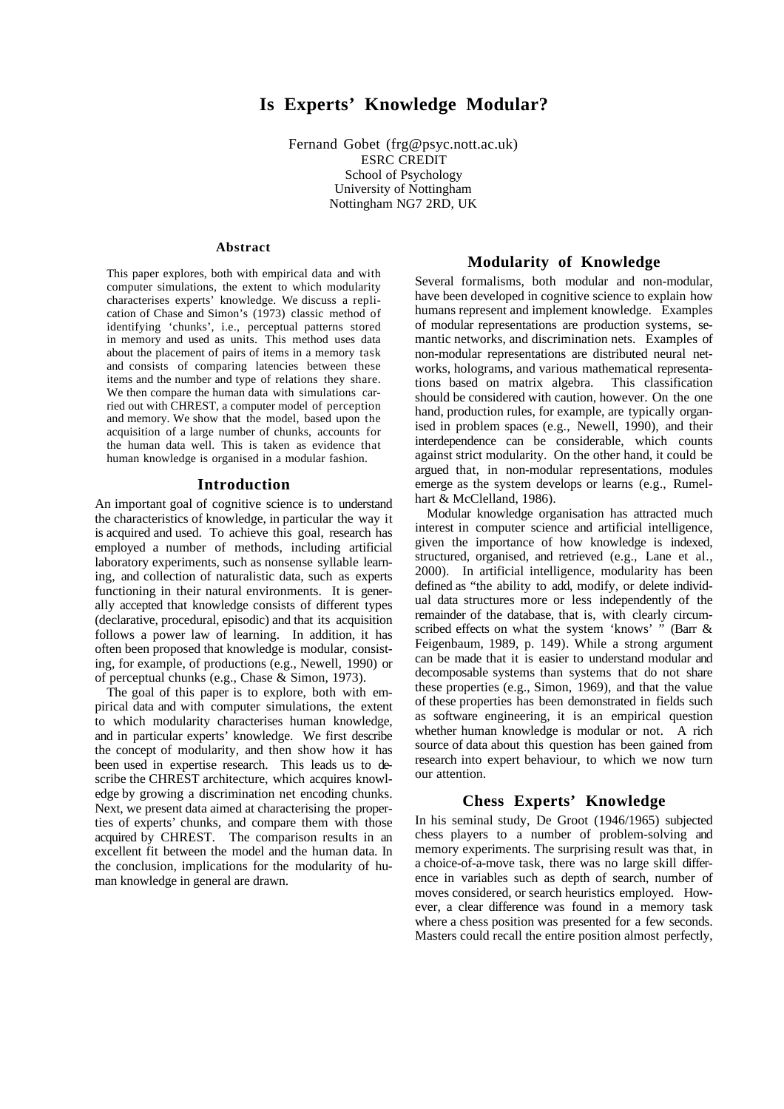# **Is Experts' Knowledge Modular?**

Fernand Gobet (frg@psyc.nott.ac.uk) ESRC CREDIT School of Psychology University of Nottingham Nottingham NG7 2RD, UK

#### **Abstract**

This paper explores, both with empirical data and with computer simulations, the extent to which modularity characterises experts' knowledge. We discuss a replication of Chase and Simon's (1973) classic method of identifying 'chunks', i.e., perceptual patterns stored in memory and used as units. This method uses data about the placement of pairs of items in a memory task and consists of comparing latencies between these items and the number and type of relations they share. We then compare the human data with simulations carried out with CHREST, a computer model of perception and memory. We show that the model, based upon the acquisition of a large number of chunks, accounts for the human data well. This is taken as evidence that human knowledge is organised in a modular fashion.

## **Introduction**

An important goal of cognitive science is to understand the characteristics of knowledge, in particular the way it is acquired and used. To achieve this goal, research has employed a number of methods, including artificial laboratory experiments, such as nonsense syllable learning, and collection of naturalistic data, such as experts functioning in their natural environments. It is generally accepted that knowledge consists of different types (declarative, procedural, episodic) and that its acquisition follows a power law of learning. In addition, it has often been proposed that knowledge is modular, consisting, for example, of productions (e.g., Newell, 1990) or of perceptual chunks (e.g., Chase & Simon, 1973).

The goal of this paper is to explore, both with empirical data and with computer simulations, the extent to which modularity characterises human knowledge, and in particular experts' knowledge. We first describe the concept of modularity, and then show how it has been used in expertise research. This leads us to describe the CHREST architecture, which acquires knowledge by growing a discrimination net encoding chunks. Next, we present data aimed at characterising the properties of experts' chunks, and compare them with those acquired by CHREST. The comparison results in an excellent fit between the model and the human data. In the conclusion, implications for the modularity of human knowledge in general are drawn.

## **Modularity of Knowledge**

Several formalisms, both modular and non-modular, have been developed in cognitive science to explain how humans represent and implement knowledge. Examples of modular representations are production systems, semantic networks, and discrimination nets. Examples of non-modular representations are distributed neural networks, holograms, and various mathematical representations based on matrix algebra. This classification should be considered with caution, however. On the one hand, production rules, for example, are typically organised in problem spaces (e.g., Newell, 1990), and their interdependence can be considerable, which counts against strict modularity. On the other hand, it could be argued that, in non-modular representations, modules emerge as the system develops or learns (e.g., Rumelhart & McClelland, 1986).

Modular knowledge organisation has attracted much interest in computer science and artificial intelligence, given the importance of how knowledge is indexed, structured, organised, and retrieved (e.g., Lane et al., 2000). In artificial intelligence, modularity has been defined as "the ability to add, modify, or delete individual data structures more or less independently of the remainder of the database, that is, with clearly circumscribed effects on what the system 'knows' " (Barr  $\&$ Feigenbaum, 1989, p. 149). While a strong argument can be made that it is easier to understand modular and decomposable systems than systems that do not share these properties (e.g., Simon, 1969), and that the value of these properties has been demonstrated in fields such as software engineering, it is an empirical question whether human knowledge is modular or not. A rich source of data about this question has been gained from research into expert behaviour, to which we now turn our attention.

# **Chess Experts' Knowledge**

In his seminal study, De Groot (1946/1965) subjected chess players to a number of problem-solving and memory experiments. The surprising result was that, in a choice-of-a-move task, there was no large skill difference in variables such as depth of search, number of moves considered, or search heuristics employed. However, a clear difference was found in a memory task where a chess position was presented for a few seconds. Masters could recall the entire position almost perfectly,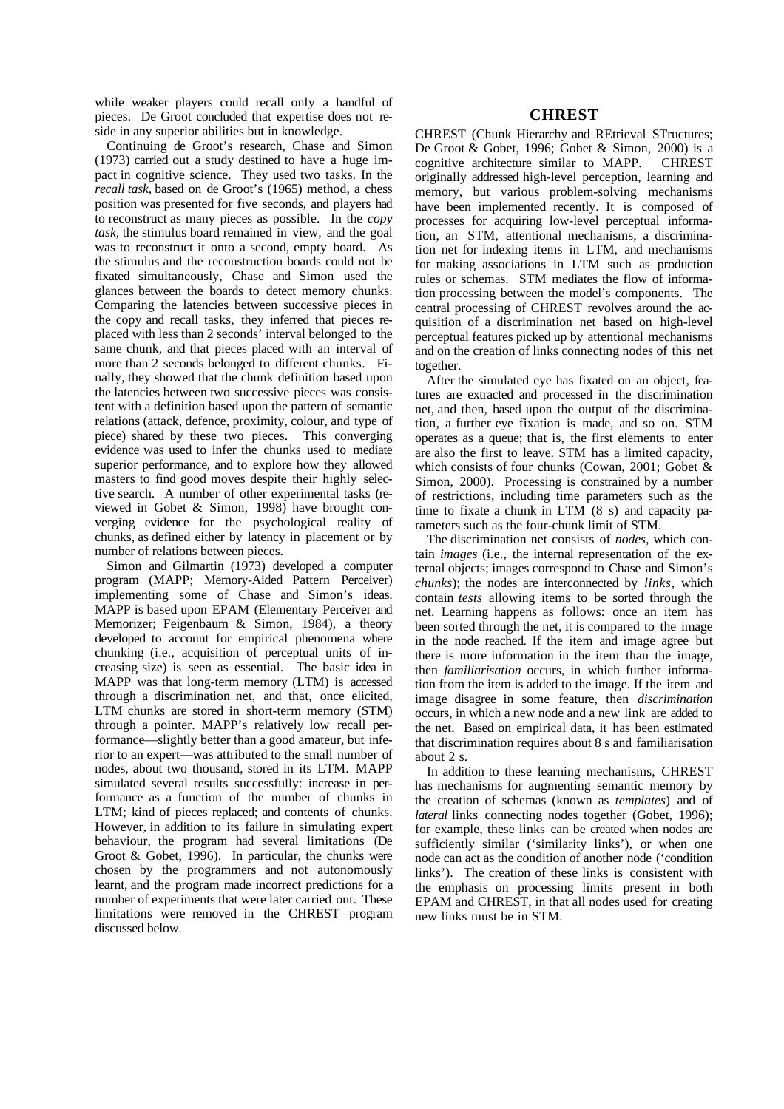while weaker players could recall only a handful of pieces. De Groot concluded that expertise does not reside in any superior abilities but in knowledge.

Continuing de Groot's research, Chase and Simon (1973) carried out a study destined to have a huge impact in cognitive science. They used two tasks*.* In the *recall task,* based on de Groot's (1965) method, a chess position was presented for five seconds, and players had to reconstruct as many pieces as possible. In the *copy task,* the stimulus board remained in view, and the goal was to reconstruct it onto a second, empty board. As the stimulus and the reconstruction boards could not be fixated simultaneously, Chase and Simon used the glances between the boards to detect memory chunks. Comparing the latencies between successive pieces in the copy and recall tasks, they inferred that pieces replaced with less than 2 seconds' interval belonged to the same chunk, and that pieces placed with an interval of more than 2 seconds belonged to different chunks. Finally, they showed that the chunk definition based upon the latencies between two successive pieces was consistent with a definition based upon the pattern of semantic relations (attack, defence, proximity, colour, and type of piece) shared by these two pieces. This converging evidence was used to infer the chunks used to mediate superior performance, and to explore how they allowed masters to find good moves despite their highly selective search. A number of other experimental tasks (reviewed in Gobet & Simon, 1998) have brought converging evidence for the psychological reality of chunks, as defined either by latency in placement or by number of relations between pieces.

Simon and Gilmartin (1973) developed a computer program (MAPP; Memory-Aided Pattern Perceiver) implementing some of Chase and Simon's ideas. MAPP is based upon EPAM (Elementary Perceiver and Memorizer; Feigenbaum & Simon, 1984), a theory developed to account for empirical phenomena where chunking (i.e., acquisition of perceptual units of increasing size) is seen as essential. The basic idea in MAPP was that long-term memory (LTM) is accessed through a discrimination net, and that, once elicited, LTM chunks are stored in short-term memory (STM) through a pointer. MAPP's relatively low recall performance—slightly better than a good amateur, but inferior to an expert—was attributed to the small number of nodes, about two thousand, stored in its LTM. MAPP simulated several results successfully: increase in performance as a function of the number of chunks in LTM; kind of pieces replaced; and contents of chunks. However, in addition to its failure in simulating expert behaviour, the program had several limitations (De Groot & Gobet, 1996). In particular, the chunks were chosen by the programmers and not autonomously learnt, and the program made incorrect predictions for a number of experiments that were later carried out. These limitations were removed in the CHREST program discussed below.

## **CHREST**

CHREST (Chunk Hierarchy and REtrieval STructures; De Groot & Gobet, 1996; Gobet & Simon, 2000) is a cognitive architecture similar to MAPP. CHREST originally addressed high-level perception, learning and memory, but various problem-solving mechanisms have been implemented recently. It is composed of processes for acquiring low-level perceptual information, an STM, attentional mechanisms, a discrimination net for indexing items in LTM, and mechanisms for making associations in LTM such as production rules or schemas. STM mediates the flow of information processing between the model's components. The central processing of CHREST revolves around the acquisition of a discrimination net based on high-level perceptual features picked up by attentional mechanisms and on the creation of links connecting nodes of this net together.

After the simulated eye has fixated on an object, features are extracted and processed in the discrimination net, and then, based upon the output of the discrimination, a further eye fixation is made, and so on. STM operates as a queue; that is, the first elements to enter are also the first to leave. STM has a limited capacity, which consists of four chunks (Cowan, 2001; Gobet & Simon, 2000). Processing is constrained by a number of restrictions, including time parameters such as the time to fixate a chunk in  $LTM(8 s)$  and capacity parameters such as the four-chunk limit of STM.

The discrimination net consists of *nodes*, which contain *images* (i.e., the internal representation of the external objects; images correspond to Chase and Simon's *chunks*); the nodes are interconnected by *links*, which contain *tests* allowing items to be sorted through the net. Learning happens as follows: once an item has been sorted through the net, it is compared to the image in the node reached. If the item and image agree but there is more information in the item than the image, then *familiarisation* occurs, in which further information from the item is added to the image. If the item and image disagree in some feature, then *discrimination* occurs, in which a new node and a new link are added to the net. Based on empirical data, it has been estimated that discrimination requires about 8 s and familiarisation about 2 s.

In addition to these learning mechanisms, CHREST has mechanisms for augmenting semantic memory by the creation of schemas (known as *templates*) and of *lateral* links connecting nodes together (Gobet, 1996); for example, these links can be created when nodes are sufficiently similar ('similarity links'), or when one node can act as the condition of another node ('condition links'). The creation of these links is consistent with the emphasis on processing limits present in both EPAM and CHREST, in that all nodes used for creating new links must be in STM.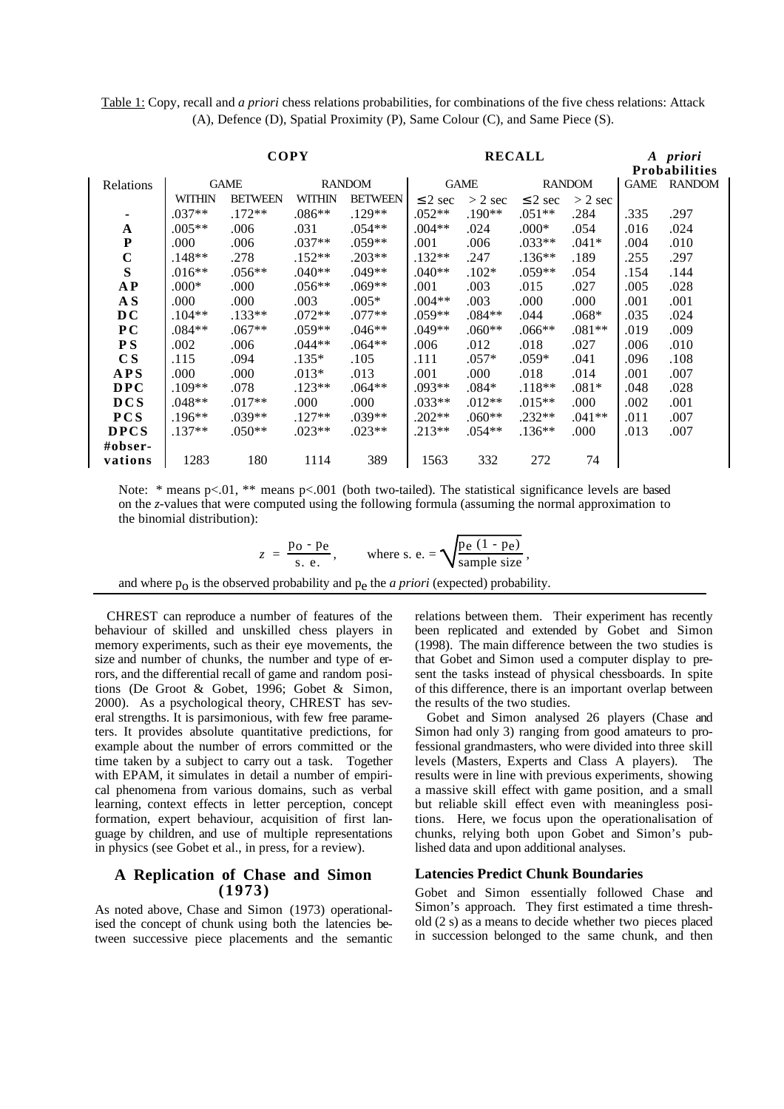Table 1: Copy, recall and *a priori* chess relations probabilities, for combinations of the five chess relations: Attack (A), Defence (D), Spatial Proximity (P), Same Colour (C), and Same Piece (S).

|                        | <b>COPY</b>   |                |               |                | <b>RECALL</b> |           |               |           | A priori<br><b>Probabilities</b> |               |
|------------------------|---------------|----------------|---------------|----------------|---------------|-----------|---------------|-----------|----------------------------------|---------------|
| Relations              | <b>GAME</b>   |                | <b>RANDOM</b> |                | <b>GAME</b>   |           | <b>RANDOM</b> |           | <b>GAME</b>                      | <b>RANDOM</b> |
|                        | <b>WITHIN</b> | <b>BETWEEN</b> | <b>WITHIN</b> | <b>BETWEEN</b> | $\leq$ 2 sec  | $> 2$ sec | $\leq$ 2 sec  | $> 2$ sec |                                  |               |
|                        | $.037**$      | $.172**$       | $.086**$      | $.129**$       | $.052**$      | $.190**$  | $.051**$      | .284      | .335                             | .297          |
| $\mathbf A$            | $.005**$      | .006           | .031          | $.054**$       | $.004**$      | .024      | $.000*$       | .054      | .016                             | .024          |
| $\mathbf P$            | .000          | .006           | $.037**$      | $.059**$       | .001          | .006      | $.033**$      | $.041*$   | .004                             | .010          |
| $\mathbf C$            | $.148**$      | .278           | $.152**$      | $.203**$       | $.132**$      | .247      | $.136**$      | .189      | .255                             | .297          |
| S                      | $.016**$      | $.056**$       | $.040**$      | $.049**$       | $.040**$      | $.102*$   | .059**        | .054      | .154                             | .144          |
| AP                     | $.000*$       | .000           | $.056**$      | $.069**$       | .001          | .003      | .015          | .027      | .005                             | .028          |
| A <sub>S</sub>         | .000          | .000           | .003          | $.005*$        | $.004**$      | .003      | .000          | .000      | .001                             | .001          |
| DC                     | $.104**$      | $.133**$       | $.072**$      | $.077**$       | $.059**$      | $.084**$  | .044          | $.068*$   | .035                             | .024          |
| PC                     | $.084**$      | $.067**$       | $.059**$      | $.046**$       | $.049**$      | $.060**$  | $.066**$      | $.081**$  | .019                             | .009          |
| P S                    | .002          | .006           | $.044**$      | $.064**$       | .006          | .012      | .018          | .027      | .006                             | .010          |
| $\mathbf{c}\mathbf{s}$ | .115          | .094           | $.135*$       | .105           | .111          | $.057*$   | $.059*$       | .041      | .096                             | .108          |
| <b>APS</b>             | .000          | .000           | $.013*$       | .013           | .001          | .000      | .018          | .014      | .001                             | .007          |
| <b>DPC</b>             | $.109**$      | .078           | $.123**$      | $.064**$       | .093**        | $.084*$   | $.118**$      | $.081*$   | .048                             | .028          |
| <b>DCS</b>             | $.048**$      | $.017**$       | .000          | .000           | $.033**$      | $.012**$  | $.015**$      | .000      | .002                             | .001          |
| <b>PCS</b>             | $.196**$      | $.039**$       | $.127**$      | .039**         | $.202**$      | $.060**$  | $.232**$      | $.041**$  | .011                             | .007          |
| <b>DPCS</b>            | $.137**$      | $.050**$       | $.023**$      | $.023**$       | $.213**$      | $.054**$  | $.136**$      | .000      | .013                             | .007          |
| #obser-                |               |                |               |                |               |           |               |           |                                  |               |
| vations                | 1283          | 180            | 1114          | 389            | 1563          | 332       | 272           | 74        |                                  |               |

Note: \* means p<.01, \*\* means p<.001 (both two-tailed). The statistical significance levels are based on the *z*-values that were computed using the following formula (assuming the normal approximation to the binomial distribution):

$$
z = \frac{p_0 - p_e}{s. e.}, \qquad \text{where } s. e. = \sqrt{\frac{p_e (1 - p_e)}{\text{sample size}}},
$$

and where po is the observed probability and pe the *a priori* (expected) probability.

CHREST can reproduce a number of features of the behaviour of skilled and unskilled chess players in memory experiments, such as their eye movements, the size and number of chunks, the number and type of errors, and the differential recall of game and random positions (De Groot & Gobet, 1996; Gobet & Simon, 2000). As a psychological theory, CHREST has several strengths. It is parsimonious, with few free parameters. It provides absolute quantitative predictions, for example about the number of errors committed or the time taken by a subject to carry out a task. Together with EPAM, it simulates in detail a number of empirical phenomena from various domains, such as verbal learning, context effects in letter perception, concept formation, expert behaviour, acquisition of first language by children, and use of multiple representations in physics (see Gobet et al., in press, for a review).

# **A Replication of Chase and Simon (1973)**

As noted above, Chase and Simon (1973) operationalised the concept of chunk using both the latencies between successive piece placements and the semantic relations between them. Their experiment has recently been replicated and extended by Gobet and Simon (1998). The main difference between the two studies is that Gobet and Simon used a computer display to present the tasks instead of physical chessboards. In spite of this difference, there is an important overlap between the results of the two studies.

Gobet and Simon analysed 26 players (Chase and Simon had only 3) ranging from good amateurs to professional grandmasters, who were divided into three skill levels (Masters, Experts and Class A players). The results were in line with previous experiments, showing a massive skill effect with game position, and a small but reliable skill effect even with meaningless positions. Here, we focus upon the operationalisation of chunks, relying both upon Gobet and Simon's published data and upon additional analyses.

## **Latencies Predict Chunk Boundaries**

Gobet and Simon essentially followed Chase and Simon's approach. They first estimated a time threshold (2 s) as a means to decide whether two pieces placed in succession belonged to the same chunk, and then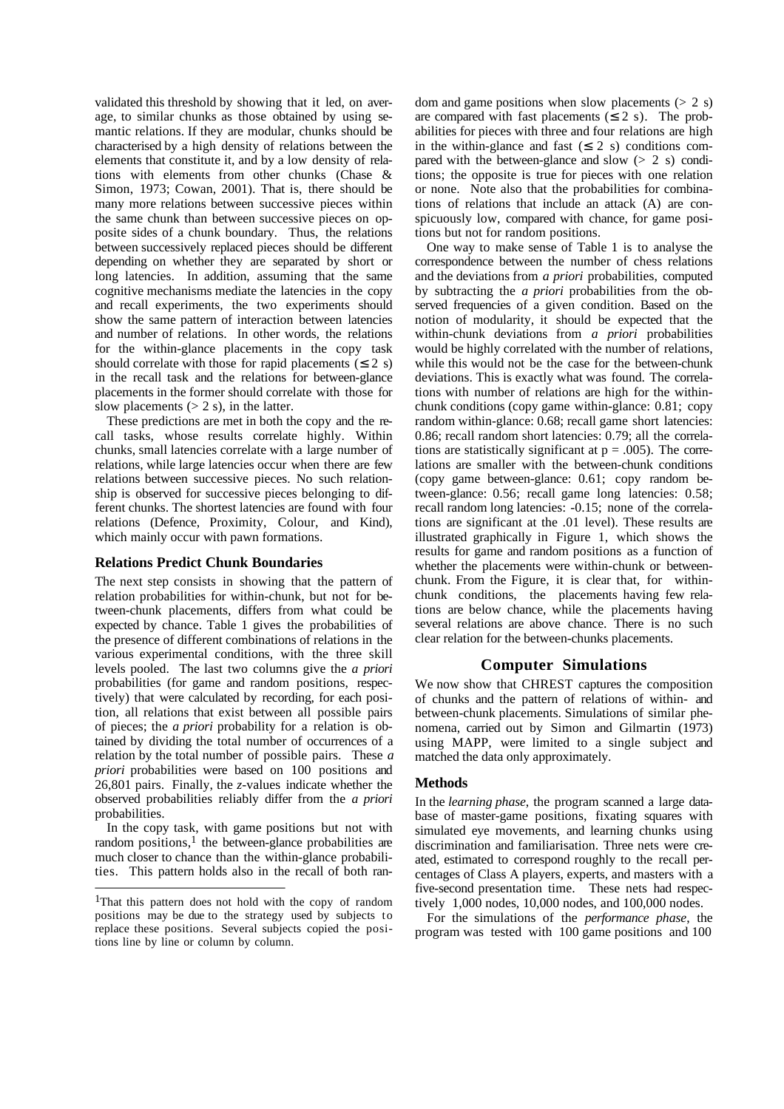validated this threshold by showing that it led, on average, to similar chunks as those obtained by using semantic relations. If they are modular, chunks should be characterised by a high density of relations between the elements that constitute it, and by a low density of relations with elements from other chunks (Chase & Simon, 1973; Cowan, 2001). That is, there should be many more relations between successive pieces within the same chunk than between successive pieces on opposite sides of a chunk boundary. Thus, the relations between successively replaced pieces should be different depending on whether they are separated by short or long latencies. In addition, assuming that the same cognitive mechanisms mediate the latencies in the copy and recall experiments, the two experiments should show the same pattern of interaction between latencies and number of relations. In other words, the relations for the within-glance placements in the copy task should correlate with those for rapid placements  $( \leq 2 \text{ s})$ in the recall task and the relations for between-glance placements in the former should correlate with those for slow placements  $(> 2 \text{ s})$ , in the latter.

These predictions are met in both the copy and the recall tasks, whose results correlate highly. Within chunks, small latencies correlate with a large number of relations, while large latencies occur when there are few relations between successive pieces. No such relationship is observed for successive pieces belonging to different chunks. The shortest latencies are found with four relations (Defence, Proximity, Colour, and Kind), which mainly occur with pawn formations.

## **Relations Predict Chunk Boundaries**

The next step consists in showing that the pattern of relation probabilities for within-chunk, but not for between-chunk placements, differs from what could be expected by chance. Table 1 gives the probabilities of the presence of different combinations of relations in the various experimental conditions, with the three skill levels pooled. The last two columns give the *a priori* probabilities (for game and random positions, respectively) that were calculated by recording, for each position, all relations that exist between all possible pairs of pieces; the *a priori* probability for a relation is obtained by dividing the total number of occurrences of a relation by the total number of possible pairs. These *a priori* probabilities were based on 100 positions and 26,801 pairs. Finally, the *z*-values indicate whether the observed probabilities reliably differ from the *a priori* probabilities.

In the copy task, with game positions but not with random positions, $<sup>1</sup>$  the between-glance probabilities are</sup> much closer to chance than the within-glance probabilities. This pattern holds also in the recall of both ran-

 $\overline{a}$ 

dom and game positions when slow placements  $(2 \text{ s})$ are compared with fast placements  $(\leq 2 \text{ s})$ . The probabilities for pieces with three and four relations are high in the within-glance and fast  $(≤ 2 s)$  conditions compared with the between-glance and slow  $(2 \text{ s})$  conditions; the opposite is true for pieces with one relation or none. Note also that the probabilities for combinations of relations that include an attack (A) are conspicuously low, compared with chance, for game positions but not for random positions.

One way to make sense of Table 1 is to analyse the correspondence between the number of chess relations and the deviations from *a priori* probabilities, computed by subtracting the *a priori* probabilities from the observed frequencies of a given condition. Based on the notion of modularity, it should be expected that the within-chunk deviations from *a priori* probabilities would be highly correlated with the number of relations, while this would not be the case for the between-chunk deviations. This is exactly what was found. The correlations with number of relations are high for the withinchunk conditions (copy game within-glance: 0.81; copy random within-glance: 0.68; recall game short latencies: 0.86; recall random short latencies: 0.79; all the correlations are statistically significant at  $p = .005$ ). The correlations are smaller with the between-chunk conditions (copy game between-glance: 0.61; copy random between-glance: 0.56; recall game long latencies: 0.58; recall random long latencies: -0.15; none of the correlations are significant at the .01 level). These results are illustrated graphically in Figure 1, which shows the results for game and random positions as a function of whether the placements were within-chunk or betweenchunk. From the Figure, it is clear that, for withinchunk conditions, the placements having few relations are below chance, while the placements having several relations are above chance. There is no such clear relation for the between-chunks placements.

## **Computer Simulations**

We now show that CHREST captures the composition of chunks and the pattern of relations of within- and between-chunk placements. Simulations of similar phenomena, carried out by Simon and Gilmartin (1973) using MAPP, were limited to a single subject and matched the data only approximately.

## **Methods**

In the *learning phase*, the program scanned a large database of master-game positions, fixating squares with simulated eye movements, and learning chunks using discrimination and familiarisation. Three nets were created, estimated to correspond roughly to the recall percentages of Class A players, experts, and masters with a five-second presentation time. These nets had respectively 1,000 nodes, 10,000 nodes, and 100,000 nodes.

For the simulations of the *performance phase*, the program was tested with 100 game positions and 100

<sup>&</sup>lt;sup>1</sup>That this pattern does not hold with the copy of random positions may be due to the strategy used by subjects to replace these positions. Several subjects copied the positions line by line or column by column.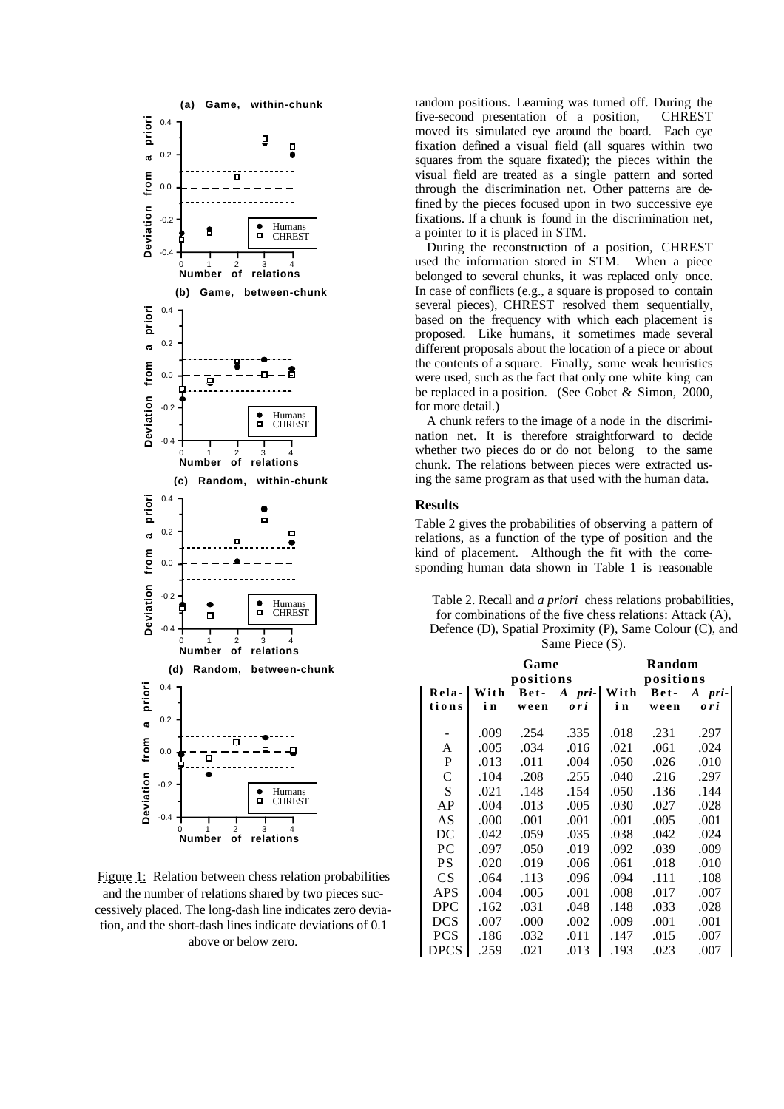

Figure 1: Relation between chess relation probabilities and the number of relations shared by two pieces successively placed. The long-dash line indicates zero deviation, and the short-dash lines indicate deviations of 0.1 above or below zero.

random positions. Learning was turned off. During the five-second presentation of a position, CHREST moved its simulated eye around the board. Each eye fixation defined a visual field (all squares within two squares from the square fixated); the pieces within the visual field are treated as a single pattern and sorted through the discrimination net. Other patterns are defined by the pieces focused upon in two successive eye fixations. If a chunk is found in the discrimination net, a pointer to it is placed in STM.

During the reconstruction of a position, CHREST used the information stored in STM. When a piece belonged to several chunks, it was replaced only once. In case of conflicts (e.g., a square is proposed to contain several pieces), CHREST resolved them sequentially, based on the frequency with which each placement is proposed. Like humans, it sometimes made several different proposals about the location of a piece or about the contents of a square. Finally, some weak heuristics were used, such as the fact that only one white king can be replaced in a position. (See Gobet & Simon, 2000, for more detail.)

A chunk refers to the image of a node in the discrimination net. It is therefore straightforward to decide whether two pieces do or do not belong to the same chunk. The relations between pieces were extracted using the same program as that used with the human data.

#### **Results**

Table 2 gives the probabilities of observing a pattern of relations, as a function of the type of position and the kind of placement. Although the fit with the corresponding human data shown in Table 1 is reasonable

Table 2. Recall and *a priori* chess relations probabilities, for combinations of the five chess relations: Attack (A), Defence (D), Spatial Proximity (P), Same Colour (C), and Same Piece (S).

|              |      |              |      | Random<br>positions |      |                  |  |  |
|--------------|------|--------------|------|---------------------|------|------------------|--|--|
|              |      | Bet-         |      |                     |      | A pri-           |  |  |
| tions        | i n  | ween         | ori  | i n                 | ween | ori              |  |  |
|              |      |              |      |                     |      |                  |  |  |
|              | .009 | .254         | .335 | .018                | .231 | .297             |  |  |
| A            | .005 | .034         | .016 | .021                | .061 | .024             |  |  |
| ${\bf P}$    | .013 | .011         | .004 | .050                | .026 | .010             |  |  |
| $\mathsf{C}$ | .104 | .208         | .255 | .040                | .216 | .297             |  |  |
| S            | .021 | .148         | .154 | .050                | .136 | .144             |  |  |
| AP           | .004 | .013         | .005 | .030                | .027 | .028             |  |  |
| AS           | .000 | .001         | .001 | .001                | .005 | .001             |  |  |
| DC           | .042 | .059         | .035 | .038                | .042 | .024             |  |  |
| PC           | .097 | .050         | .019 | .092                | .039 | .009             |  |  |
| PS           | .020 | .019         | .006 | .061                | .018 | .010             |  |  |
| CS           | .064 | .113         | .096 | .094                | .111 | .108             |  |  |
| <b>APS</b>   | .004 | .005         | .001 | .008                | .017 | .007             |  |  |
| DPC          | .162 | .031         | .048 | .148                | .033 | .028             |  |  |
| <b>DCS</b>   | .007 | .000         | .002 | .009                | .001 | .001             |  |  |
| <b>PCS</b>   | .186 | .032         | .011 | .147                | .015 | .007             |  |  |
| <b>DPCS</b>  | .259 | .021         | .013 | .193                | .023 | .007             |  |  |
|              |      | Rela-   With |      | Game<br>positions   |      | A pri- With Bet- |  |  |